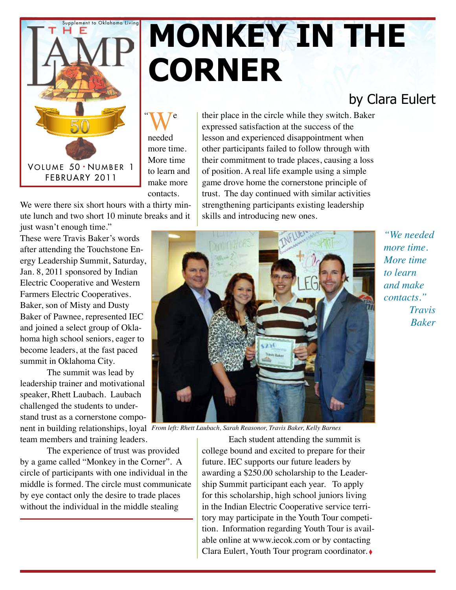

## **MONKEY IN THE corner**

#### by Clara Eulert

 $W^{\text{e}}$ needed more time. More time to learn and make more contacts.

We were there six short hours with a thirty minute lunch and two short 10 minute breaks and it just wasn't enough time."

These were Travis Baker's words after attending the Touchstone Energy Leadership Summit, Saturday, Jan. 8, 2011 sponsored by Indian Electric Cooperative and Western Farmers Electric Cooperatives. Baker, son of Misty and Dusty Baker of Pawnee, represented IEC and joined a select group of Oklahoma high school seniors, eager to become leaders, at the fast paced summit in Oklahoma City.

The summit was lead by leadership trainer and motivational speaker, Rhett Laubach. Laubach challenged the students to understand trust as a cornerstone component in building relationships, loyal *From left: Rhett Laubach, Sarah Reasonor, Travis Baker, Kelly Barnes*

team members and training leaders.

The experience of trust was provided by a game called "Monkey in the Corner". A circle of participants with one individual in the middle is formed. The circle must communicate by eye contact only the desire to trade places without the individual in the middle stealing

their place in the circle while they switch. Baker expressed satisfaction at the success of the lesson and experienced disappointment when other participants failed to follow through with their commitment to trade places, causing a loss of position. A real life example using a simple game drove home the cornerstone principle of trust. The day continued with similar activities strengthening participants existing leadership skills and introducing new ones.



Each student attending the summit is college bound and excited to prepare for their future. IEC supports our future leaders by awarding a \$250.00 scholarship to the Leadership Summit participant each year. To apply for this scholarship, high school juniors living in the Indian Electric Cooperative service territory may participate in the Youth Tour competition. Information regarding Youth Tour is available online at www.iecok.com or by contacting Clara Eulert, Youth Tour program coordinator. ◊

*"We needed more time. More time to learn and make contacts." Travis Baker*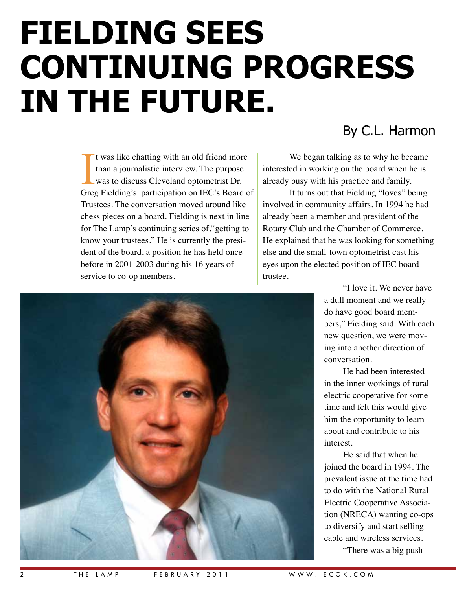# **Fielding Sees Continuing Progress In The Future.**

It was like chatting with an old friend more<br>than a journalistic interview. The purpose<br>was to discuss Cleveland optometrist Dr.<br>Greg Fielding's participation on IEC's Board of t was like chatting with an old friend more than a journalistic interview. The purpose was to discuss Cleveland optometrist Dr. Trustees. The conversation moved around like chess pieces on a board. Fielding is next in line for The Lamp's continuing series of,"getting to know your trustees." He is currently the president of the board, a position he has held once before in 2001-2003 during his 16 years of service to co-op members.

#### By C.L. Harmon

We began talking as to why he became interested in working on the board when he is already busy with his practice and family.

It turns out that Fielding "loves" being involved in community affairs. In 1994 he had already been a member and president of the Rotary Club and the Chamber of Commerce. He explained that he was looking for something else and the small-town optometrist cast his eyes upon the elected position of IEC board trustee.

> "I love it. We never have a dull moment and we really do have good board members," Fielding said. With each new question, we were moving into another direction of conversation.

He had been interested in the inner workings of rural electric cooperative for some time and felt this would give him the opportunity to learn about and contribute to his interest.

He said that when he joined the board in 1994. The prevalent issue at the time had to do with the National Rural Electric Cooperative Association (NRECA) wanting co-ops to diversify and start selling cable and wireless services. "There was a big push

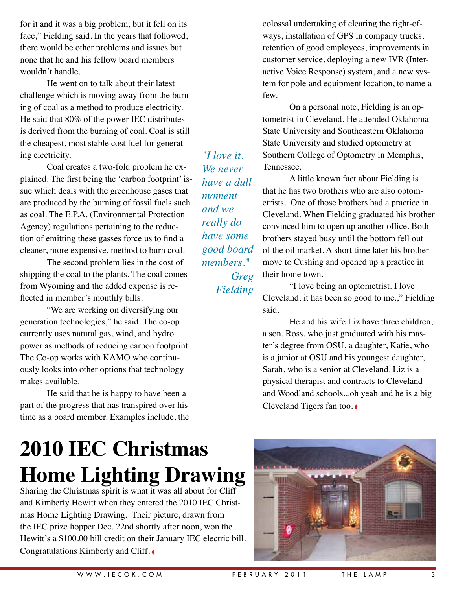for it and it was a big problem, but it fell on its face," Fielding said. In the years that followed, there would be other problems and issues but none that he and his fellow board members wouldn't handle.

He went on to talk about their latest challenge which is moving away from the burning of coal as a method to produce electricity. He said that 80% of the power IEC distributes is derived from the burning of coal. Coal is still the cheapest, most stable cost fuel for generating electricity.

Coal creates a two-fold problem he explained. The first being the 'carbon footprint' issue which deals with the greenhouse gases that are produced by the burning of fossil fuels such as coal. The E.P.A. (Environmental Protection Agency) regulations pertaining to the reduction of emitting these gasses force us to find a cleaner, more expensive, method to burn coal.

The second problem lies in the cost of shipping the coal to the plants. The coal comes from Wyoming and the added expense is reflected in member's monthly bills.

"We are working on diversifying our generation technologies," he said. The co-op currently uses natural gas, wind, and hydro power as methods of reducing carbon footprint. The Co-op works with KAMO who continuously looks into other options that technology makes available.

He said that he is happy to have been a part of the progress that has transpired over his time as a board member. Examples include, the

*"I love it. We never have a dull moment and we really do have some good board members." Greg Fielding*

colossal undertaking of clearing the right-ofways, installation of GPS in company trucks, retention of good employees, improvements in customer service, deploying a new IVR (Interactive Voice Response) system, and a new system for pole and equipment location, to name a few.

On a personal note, Fielding is an optometrist in Cleveland. He attended Oklahoma State University and Southeastern Oklahoma State University and studied optometry at Southern College of Optometry in Memphis, Tennessee.

A little known fact about Fielding is that he has two brothers who are also optometrists. One of those brothers had a practice in Cleveland. When Fielding graduated his brother convinced him to open up another office. Both brothers stayed busy until the bottom fell out of the oil market. A short time later his brother move to Cushing and opened up a practice in their home town.

"I love being an optometrist. I love Cleveland; it has been so good to me.," Fielding said.

He and his wife Liz have three children, a son, Ross, who just graduated with his master's degree from OSU, a daughter, Katie, who is a junior at OSU and his youngest daughter, Sarah, who is a senior at Cleveland. Liz is a physical therapist and contracts to Cleveland and Woodland schools...oh yeah and he is a big Cleveland Tigers fan too. ◊

### **2010 IEC Christmas Home Lighting Drawing**

Sharing the Christmas spirit is what it was all about for Cliff and Kimberly Hewitt when they entered the 2010 IEC Christmas Home Lighting Drawing. Their picture, drawn from the IEC prize hopper Dec. 22nd shortly after noon, won the Hewitt's a \$100.00 bill credit on their January IEC electric bill. Congratulations Kimberly and Cliff. ◊